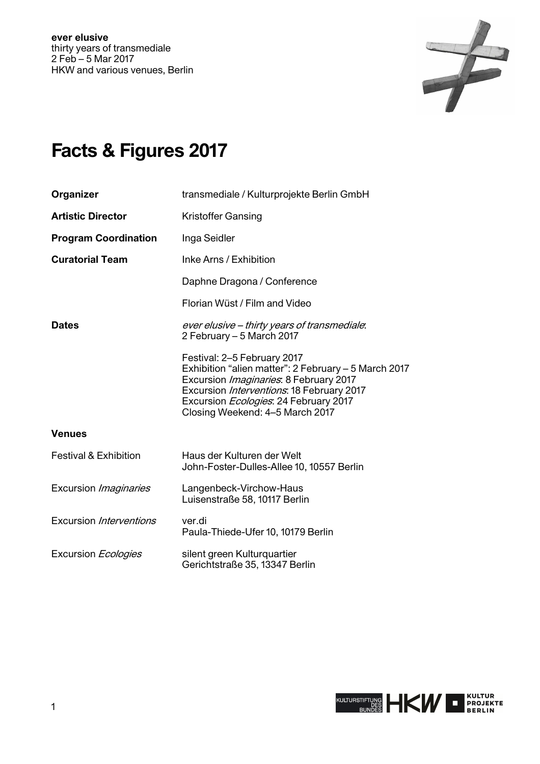

# **Facts & Figures 2017**

| Organizer                        | transmediale / Kulturprojekte Berlin GmbH                                                                                                                                                                                                                      |
|----------------------------------|----------------------------------------------------------------------------------------------------------------------------------------------------------------------------------------------------------------------------------------------------------------|
| <b>Artistic Director</b>         | <b>Kristoffer Gansing</b>                                                                                                                                                                                                                                      |
| <b>Program Coordination</b>      | Inga Seidler                                                                                                                                                                                                                                                   |
| <b>Curatorial Team</b>           | Inke Arns / Exhibition                                                                                                                                                                                                                                         |
|                                  | Daphne Dragona / Conference                                                                                                                                                                                                                                    |
|                                  | Florian Wüst / Film and Video                                                                                                                                                                                                                                  |
| <b>Dates</b>                     | ever elusive – thirty years of transmediale.<br>2 February - 5 March 2017                                                                                                                                                                                      |
|                                  | Festival: 2-5 February 2017<br>Exhibition "alien matter": 2 February - 5 March 2017<br>Excursion Imaginaries: 8 February 2017<br>Excursion Interventions: 18 February 2017<br>Excursion <i>Ecologies</i> : 24 February 2017<br>Closing Weekend: 4-5 March 2017 |
| <b>Venues</b>                    |                                                                                                                                                                                                                                                                |
| <b>Festival &amp; Exhibition</b> | Haus der Kulturen der Welt<br>John-Foster-Dulles-Allee 10, 10557 Berlin                                                                                                                                                                                        |
| Excursion Imaginaries            | Langenbeck-Virchow-Haus<br>Luisenstraße 58, 10117 Berlin                                                                                                                                                                                                       |
| Excursion Interventions          | ver.di<br>Paula-Thiede-Ufer 10, 10179 Berlin                                                                                                                                                                                                                   |
| Excursion Ecologies              | silent green Kulturquartier<br>Gerichtstraße 35, 13347 Berlin                                                                                                                                                                                                  |

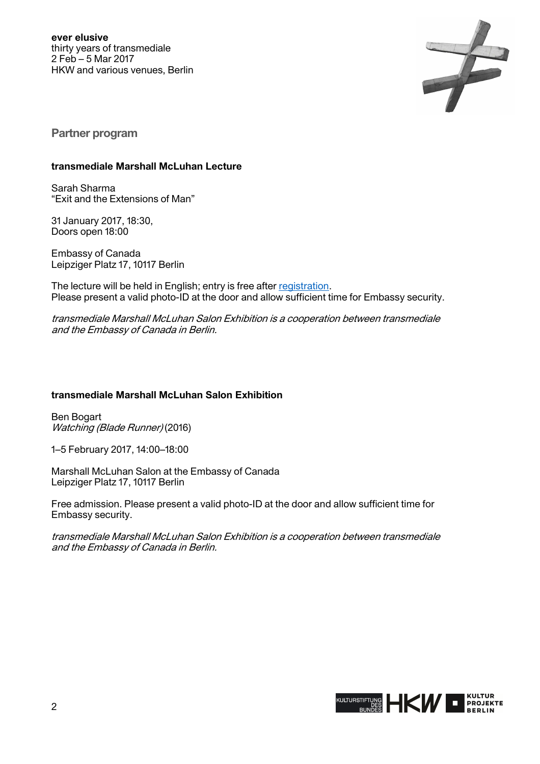

**Partner program** 

#### **transmediale Marshall McLuhan Lecture**

Sarah Sharma "Exit and the Extensions of Man"

31 January 2017, 18:30, Doors open 18:00

Embassy of Canada Leipziger Platz 17, 10117 Berlin

The lecture will be held in English; entry is free after [registration.](http://www.mcluhan-salon.de/index.php?&page_name=calendar&action=&cookieCheck=1&aspect=event_registration&event_id=140&lang=en) Please present a valid photo-ID at the door and allow sufficient time for Embassy security.

transmediale Marshall McLuhan Salon Exhibition is a cooperation between transmediale and the Embassy of Canada in Berlin.

## **transmediale Marshall McLuhan Salon Exhibition**

Ben Bogart Watching (Blade Runner) (2016)

1–5 February 2017, 14:00–18:00

Marshall McLuhan Salon at the Embassy of Canada Leipziger Platz 17, 10117 Berlin

Free admission. Please present a valid photo-ID at the door and allow sufficient time for Embassy security.

transmediale Marshall McLuhan Salon Exhibition is a cooperation between transmediale and the Embassy of Canada in Berlin.

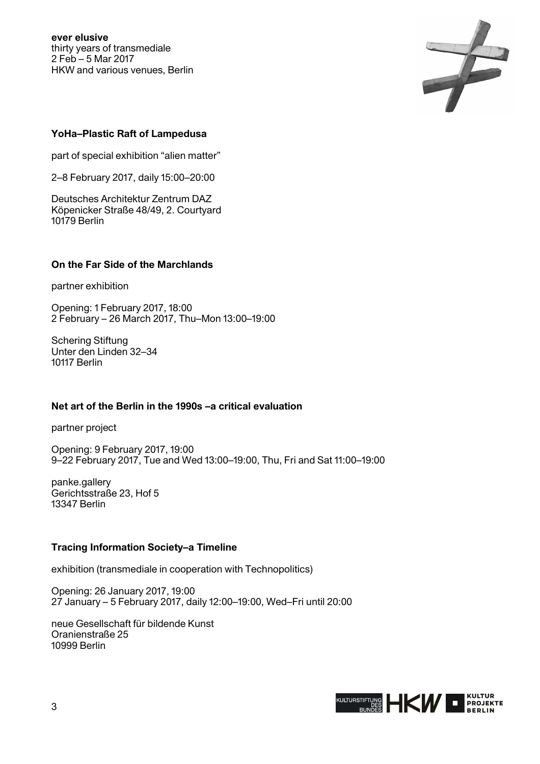

## **YoHa–Plastic Raft of Lampedusa**

part of special exhibition "alien matter"

2–8 February 2017, daily 15:00–20:00

Deutsches Architektur Zentrum DAZ Köpenicker Straße 48/49, 2. Courtyard 10179 Berlin

## **On the Far Side of the Marchlands**

partner exhibition

Opening: 1 February 2017, 18:00 2 February – 26 March 2017, Thu–Mon 13:00–19:00

Schering Stiftung Unter den Linden 32–34 10117 Berlin

## **Net art of the Berlin in the 1990s –a critical evaluation**

partner project

Opening: 9 February 2017, 19:00 9–22 February 2017, Tue and Wed 13:00–19:00, Thu, Fri and Sat 11:00–19:00

panke.gallery Gerichtsstraße 23, Hof 5 13347 Berlin

## **Tracing Information Society–a Timeline**

exhibition (transmediale in cooperation with Technopolitics)

Opening: 26 January 2017, 19:00 27 January – 5 February 2017, daily 12:00–19:00, Wed–Fri until 20:00

neue Gesellschaft für bildende Kunst Oranienstraße 25 10999 Berlin

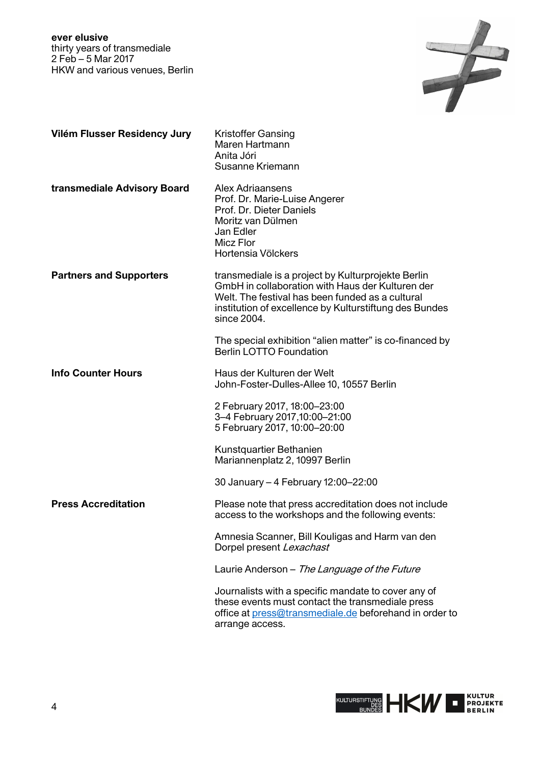

| Vilém Flusser Residency Jury   | <b>Kristoffer Gansing</b><br>Maren Hartmann<br>Anita Jóri<br>Susanne Kriemann                                                                                                                                                       |
|--------------------------------|-------------------------------------------------------------------------------------------------------------------------------------------------------------------------------------------------------------------------------------|
| transmediale Advisory Board    | <b>Alex Adriaansens</b><br>Prof. Dr. Marie-Luise Angerer<br>Prof. Dr. Dieter Daniels<br>Moritz van Dülmen<br>Jan Edler<br><b>Micz Flor</b><br>Hortensia Völckers                                                                    |
| <b>Partners and Supporters</b> | transmediale is a project by Kulturprojekte Berlin<br>GmbH in collaboration with Haus der Kulturen der<br>Welt. The festival has been funded as a cultural<br>institution of excellence by Kulturstiftung des Bundes<br>since 2004. |
|                                | The special exhibition "alien matter" is co-financed by<br><b>Berlin LOTTO Foundation</b>                                                                                                                                           |
| <b>Info Counter Hours</b>      | Haus der Kulturen der Welt<br>John-Foster-Dulles-Allee 10, 10557 Berlin                                                                                                                                                             |
|                                | 2 February 2017, 18:00-23:00<br>3-4 February 2017,10:00-21:00<br>5 February 2017, 10:00-20:00                                                                                                                                       |
|                                | Kunstquartier Bethanien<br>Mariannenplatz 2, 10997 Berlin                                                                                                                                                                           |
|                                | 30 January - 4 February 12:00-22:00                                                                                                                                                                                                 |
| <b>Press Accreditation</b>     | Please note that press accreditation does not include<br>access to the workshops and the following events:                                                                                                                          |
|                                | Amnesia Scanner, Bill Kouligas and Harm van den<br>Dorpel present Lexachast                                                                                                                                                         |
|                                | Laurie Anderson - The Language of the Future                                                                                                                                                                                        |
|                                | Journalists with a specific mandate to cover any of<br>these events must contact the transmediale press<br>office at press@transmediale.de beforehand in order to<br>arrange access.                                                |

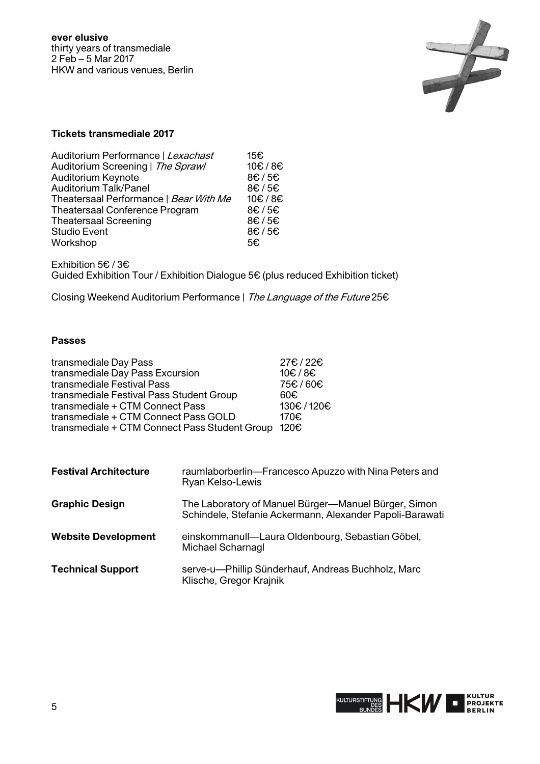

## **Tickets transmediale 2017**

| Auditorium Performance   Lexachast     | 15€    |
|----------------------------------------|--------|
| Auditorium Screening   The Sprawl      | 10€/8€ |
| <b>Auditorium Keynote</b>              | 8€/5€  |
| Auditorium Talk/Panel                  | 8€/5€  |
| Theatersaal Performance   Bear With Me | 10€/8€ |
| Theatersaal Conference Program         | 8€/5€  |
| <b>Theatersaal Screening</b>           | 8€/5€  |
| <b>Studio Event</b>                    | 8€/5€  |
| Workshop                               | 5€     |

Exhibition 5€ / 3€ Guided Exhibition Tour / Exhibition Dialogue 5€ (plus reduced Exhibition ticket)

Closing Weekend Auditorium Performance | The Language of the Future 25€

## **Passes**

| transmediale Day Pass                              | 27€/22€   |
|----------------------------------------------------|-----------|
| transmediale Day Pass Excursion                    | 10€/8€    |
| transmediale Festival Pass                         | 75€/60€   |
| transmediale Festival Pass Student Group           | 60€       |
| transmediale + CTM Connect Pass                    | 130€/120€ |
| transmediale + CTM Connect Pass GOLD               | 170€      |
| transmediale + CTM Connect Pass Student Group 120€ |           |

| <b>Festival Architecture</b> | raumlaborberlin-Francesco Apuzzo with Nina Peters and<br><b>Ryan Kelso-Lewis</b>                                 |
|------------------------------|------------------------------------------------------------------------------------------------------------------|
| <b>Graphic Design</b>        | The Laboratory of Manuel Bürger-Manuel Bürger, Simon<br>Schindele, Stefanie Ackermann, Alexander Papoli-Barawati |
| <b>Website Development</b>   | einskommanull-Laura Oldenbourg, Sebastian Göbel,<br>Michael Scharnagl                                            |
| <b>Technical Support</b>     | serve-u---Phillip Sünderhauf, Andreas Buchholz, Marc<br>Klische, Gregor Krajnik                                  |